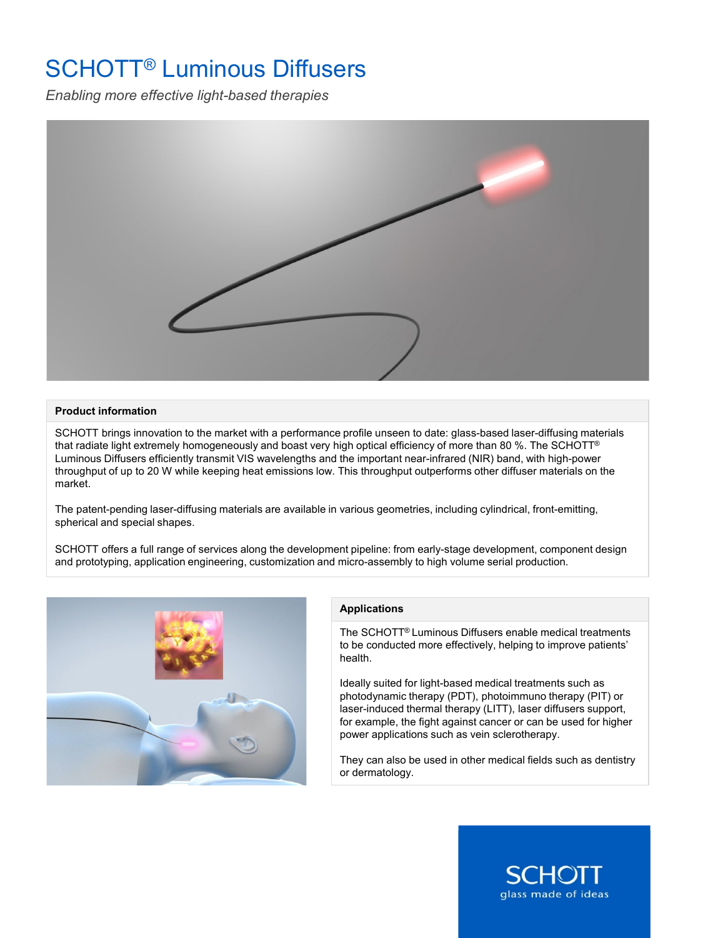## SCHOTT® Luminous Diffusers

*Enabling more effective light-based therapies*



## **Product information**

SCHOTT brings innovation to the market with a performance profile unseen to date: glass-based laser-diffusing materials that radiate light extremely homogeneously and boast very high optical efficiency of more than 80 %. The SCHOTT® Luminous Diffusers efficiently transmit VIS wavelengths and the important near-infrared (NIR) band, with high-power throughput of up to 20 W while keeping heat emissions low. This throughput outperforms other diffuser materials on the market.

The patent-pending laser-diffusing materials are available in various geometries, including cylindrical, front-emitting, spherical and special shapes.

SCHOTT offers a full range of services along the development pipeline: from early-stage development, component design and prototyping, application engineering, customization and micro-assembly to high volume serial production.



## **Applications**

The SCHOTT® Luminous Diffusers enable medical treatments to be conducted more effectively, helping to improve patients' health.

Ideally suited for light-based medical treatments such as photodynamic therapy (PDT), photoimmuno therapy (PIT) or laser-induced thermal therapy (LITT), laser diffusers support, for example, the fight against cancer or can be used for higher power applications such as vein sclerotherapy.

They can also be used in other medical fields such as dentistry or dermatology.